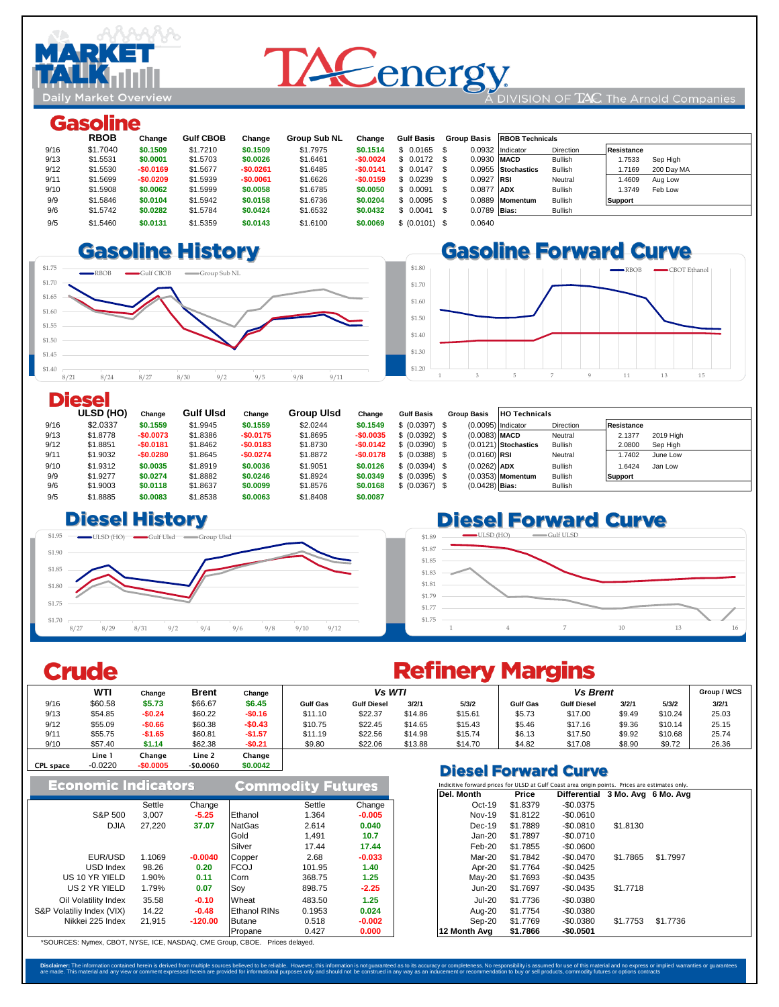

# **TACenergy** DIVISION OF TAC The Arnold Companies

## **Gasoline**

|      | <b>RBOB</b> | Change     | <b>Gulf CBOB</b> | Change     | <b>Group Sub NL</b> | Change     | <b>Gulf Basis</b> |                | Group Basis RBOB Technicals |                |                      |  |
|------|-------------|------------|------------------|------------|---------------------|------------|-------------------|----------------|-----------------------------|----------------|----------------------|--|
| 9/16 | \$1.7040    | \$0.1509   | \$1,7210         | \$0.1509   | \$1.7975            | \$0.1514   | $$0.0165$ \$      |                | 0.0932 Indicator            | Direction      | <b>Resistance</b>    |  |
| 9/13 | \$1,5531    | \$0,0001   | \$1,5703         | \$0.0026   | \$1,6461            | $-$0.0024$ | $$0.0172$ \$      | 0.0930 MACD    |                             | <b>Bullish</b> | 1.7533<br>Sep High   |  |
| 9/12 | \$1,5530    | $-$0.0169$ | \$1,5677         | $-$0.0261$ | \$1.6485            | $-$0.0141$ | $$0.0147$ \$      |                | 0.0955 Stochastics          | <b>Bullish</b> | 1.7169<br>200 Day MA |  |
| 9/11 | \$1,5699    | $-$0.0209$ | \$1.5939         | $-$0.0061$ | \$1.6626            | $-$0.0159$ | $$0.0239$ \$      | $0.0927$ RSI   |                             | Neutral        | 1.4609<br>Aug Low    |  |
| 9/10 | \$1,5908    | \$0,0062   | \$1,5999         | \$0.0058   | \$1,6785            | \$0,0050   | \$0.0091          | 0.0877 ADX     |                             | Bullish        | 1.3749<br>Feb Low    |  |
| 9/9  | \$1,5846    | \$0,0104   | \$1,5942         | \$0.0158   | \$1,6736            | \$0.0204   | $$0.0095$ \$      |                | 0.0889 Momentum             | <b>Bullish</b> | <b>Support</b>       |  |
| 9/6  | \$1,5742    | \$0.0282   | \$1,5784         | \$0.0424   | \$1.6532            | \$0.0432   | \$0.0041          | $0.0789$ Bias: |                             | <b>Bullish</b> |                      |  |
| 9/5  | \$1,5460    | \$0,0131   | \$1,5359         | \$0.0143   | \$1.6100            | \$0.0069   | \$ (0.0101) \$    | 0.0640         |                             |                |                      |  |

## 9/3 \$1.4705 **-\$0.1429 \$1.48 -\$0.0667** \$1.5482 **-\$0.0704**





### **Diesel**

|      | ULSD (HO) | Change     | <b>Gulf Ulsd</b> | Change     | Group UIsd | Change     | <b>Gulf Basis</b> | <b>Group Basis</b>   | <b>HO Technicals</b>   |                  |                   |           |
|------|-----------|------------|------------------|------------|------------|------------|-------------------|----------------------|------------------------|------------------|-------------------|-----------|
| 9/16 | \$2.0337  | \$0.1559   | \$1,9945         | \$0.1559   | \$2.0244   | \$0.1549   | \$ (0.0397) \$    | $(0.0095)$ Indicator |                        | <b>Direction</b> | <b>Resistance</b> |           |
| 9/13 | \$1,8778  | -\$0.0073  | \$1,8386         | $-$0.0175$ | \$1,8695   | $-$0.0035$ | \$ (0.0392) \$    | $(0.0083)$ MACD      |                        | Neutral          | 2.1377            | 2019 High |
| 9/12 | \$1,8851  | $-$0.0181$ | \$1,8462         | $-$0.0183$ | \$1,8730   | $-$0.0142$ | \$ (0.0390) \$    |                      | $(0.0121)$ Stochastics | Bullish          | 2.0800            | Sep High  |
| 9/11 | \$1.9032  | -\$0.0280  | \$1.8645         | $-$0.0274$ | \$1.8872   | $-$0.0178$ | \$ (0.0388) \$    | $(0.0160)$ RSI       |                        | Neutral          | 1.7402            | June Low  |
| 9/10 | \$1.9312  | \$0,0035   | \$1,8919         | \$0,0036   | \$1,9051   | \$0,0126   | \$ (0.0394) \$    | $(0.0262)$ ADX       |                        | <b>Bullish</b>   | 1.6424            | Jan Low   |
| 9/9  | \$1,9277  | \$0.0274   | \$1,8882         | \$0.0246   | \$1.8924   | \$0,0349   | \$ (0.0395) \$    |                      | $(0.0353)$ Momentum    | <b>Bullish</b>   | <b>Support</b>    |           |
| 9/6  | \$1,9003  | \$0,0118   | \$1.8637         | \$0.0099   | \$1,8576   | \$0.0168   | \$ (0.0367) \$    | $(0.0428)$ Bias:     |                        | <b>Bullish</b>   |                   |           |
| 9/5  | \$1,8885  | \$0,0083   | \$1,8538         | \$0.0063   | \$1,8408   | \$0,0087   |                   |                      |                        |                  |                   |           |

## 9/3 \$1.8033 **-\$0.0249** \$1.77 **-\$0.0353** \$1.7549 **-\$0.0328**



# **Diesel Forward Curve**

#### \$1.75 \$1.77 \$1.79 \$1.81 \$1.83 \$1.85 \$1.87 \$1.89 1 1 4 7 10 13 16 ULSD (HO) Gulf ULSD

## Crude

|                  | <b>THE</b> |            |              |          |                 |                    | ---------- |         |                 |                             |        |         |       |
|------------------|------------|------------|--------------|----------|-----------------|--------------------|------------|---------|-----------------|-----------------------------|--------|---------|-------|
|                  | <b>WTI</b> | Change     | <b>Brent</b> | Change   | Vs WTI          |                    |            |         | Group / WCS     |                             |        |         |       |
| 9/16             | \$60.58    | \$5.73     | \$66.67      | \$6.45   | <b>Gulf Gas</b> | <b>Gulf Diesel</b> | 3/2/1      | 5/3/2   | <b>Gulf Gas</b> | <b>Gulf Diesel</b>          | 3/2/1  | 5/3/2   | 3/2/1 |
| 9/13             | \$54.85    | $-$0.24$   | \$60.22      | -\$0.16  | \$11.10         | \$22.37            | \$14.86    | \$15.61 | \$5.73          | \$17.00                     | \$9.49 | \$10.24 | 25.03 |
| 9/12             | \$55.09    | $-$0.66$   | \$60.38      | $-$0.43$ | \$10.75         | \$22.45            | \$14.65    | \$15.43 | \$5.46          | \$17.16                     | \$9.36 | \$10.14 | 25.15 |
| 9/11             | \$55.75    | $-$1.65$   | \$60.81      | $-$1.57$ | \$11.19         | \$22.56            | \$14.98    | \$15.74 | \$6.13          | \$17.50                     | \$9.92 | \$10.68 | 25.74 |
| 9/10             | \$57.40    | \$1.14     | \$62.38      | $-$0.21$ | \$9.80          | \$22.06            | \$13.88    | \$14.70 | \$4.82          | \$17.08                     | \$8.90 | \$9.72  | 26.36 |
|                  | Line 1     | Change     | Line 2       | Change   |                 |                    |            |         |                 |                             |        |         |       |
| <b>CPL space</b> | $-0.0220$  | $-$0.0005$ | $-$0.0060$   | \$0,0042 |                 |                    |            |         |                 | <b>Black Feminist Brown</b> |        |         |       |

|                            |        |           |                          |        |          |                                                                                                | <b>PIESEI FUI WATU GUI VE</b> |          |                                 |          |          |  |
|----------------------------|--------|-----------|--------------------------|--------|----------|------------------------------------------------------------------------------------------------|-------------------------------|----------|---------------------------------|----------|----------|--|
| <b>Economic Indicators</b> |        |           | <b>Commodity Futures</b> |        |          | Indicitive forward prices for ULSD at Gulf Coast area origin points. Prices are estimates only |                               |          |                                 |          |          |  |
|                            |        |           |                          |        |          |                                                                                                | Del. Month                    | Price    | Differential 3 Mo. Avg 6 Mo. Av |          |          |  |
|                            | Settle | Change    |                          | Settle | Change   |                                                                                                | $Oct-19$                      | \$1,8379 | $-$0.0375$                      |          |          |  |
| S&P 500                    | 3.007  | $-5.25$   | Ethanol                  | 1.364  | $-0.005$ |                                                                                                | Nov-19                        | \$1,8122 | $-$0.0610$                      |          |          |  |
| <b>DJIA</b>                | 27.220 | 37.07     | <b>NatGas</b>            | 2.614  | 0.040    |                                                                                                | $Dec-19$                      | \$1.7889 | $-$0.0810$                      | \$1,8130 |          |  |
|                            |        |           | Gold                     | 1.491  | 10.7     |                                                                                                | Jan-20                        | \$1.7897 | $-$0.0710$                      |          |          |  |
|                            |        |           | Silver                   | 17.44  | 17.44    |                                                                                                | Feb-20                        | \$1.7855 | $-$0.0600$                      |          |          |  |
| EUR/USD                    | 1.1069 | $-0.0040$ | Copper                   | 2.68   | $-0.033$ |                                                                                                | Mar-20                        | \$1.7842 | -\$0.0470                       | \$1.7865 | \$1.7997 |  |
| USD Index                  | 98.26  | 0.20      | <b>FCOJ</b>              | 101.95 | 1.40     |                                                                                                | Apr-20                        | \$1,7764 | $-$0.0425$                      |          |          |  |
| US 10 YR YIELD             | 1.90%  | 0.11      | Corn                     | 368.75 | 1.25     |                                                                                                | $May-20$                      | \$1,7693 | $-$0.0435$                      |          |          |  |
| US 2 YR YIELD              | 1.79%  | 0.07      | Soy                      | 898.75 | $-2.25$  |                                                                                                | $Jun-20$                      | \$1.7697 | $-$0.0435$                      | \$1,7718 |          |  |
| Oil Volatility Index       | 35.58  | $-0.10$   | Wheat                    | 483.50 | 1.25     |                                                                                                | <b>Jul-20</b>                 | \$1.7736 | $-$0.0380$                      |          |          |  |
| S&P Volatiliy Index (VIX)  | 14.22  | $-0.48$   | <b>Ethanol RINs</b>      | 0.1953 | 0.024    |                                                                                                | Aug-20                        | \$1,7754 | $-$0.0380$                      |          |          |  |
| Nikkei 225 Index           | 21.915 | $-120.00$ | Butane                   | 0.518  | $-0.002$ |                                                                                                | Sep-20                        | \$1,7769 | $-$0.0380$                      | \$1,7753 | \$1,7736 |  |
|                            |        |           | Propane                  | 0.427  | 0.000    |                                                                                                | 12 Month Ava                  | \$1.7866 | $-$0.0501$                      |          |          |  |

\*SOURCES: Nymex, CBOT, NYSE, ICE, NASDAQ, CME Group, CBOE. Prices delayed.

# **Refinery Margins**

| <b>Diesel Forward Curve</b> |  |                                                                                                |
|-----------------------------|--|------------------------------------------------------------------------------------------------|
|                             |  | Indicitive forward prices for ULSD at Gulf Coast area origin points. Prices are estimates only |

| Del. Month    | Price    | <b>Differential</b> | 3 Mo. Avg 6 Mo. Avg |          |
|---------------|----------|---------------------|---------------------|----------|
| $Oct-19$      | \$1.8379 | $-$0.0375$          |                     |          |
| <b>Nov-19</b> | \$1.8122 | $-$0.0610$          |                     |          |
| $Dec-19$      | \$1.7889 | $-$0.0810$          | \$1.8130            |          |
| $Jan-20$      | \$1.7897 | $-$0.0710$          |                     |          |
| $Feb-20$      | \$1.7855 | $-$0.0600$          |                     |          |
| $Mar-20$      | \$1.7842 | $-$0.0470$          | \$1.7865            | \$1.7997 |
| Apr-20        | \$1.7764 | $-$0.0425$          |                     |          |
| $May-20$      | \$1.7693 | $-$0.0435$          |                     |          |
| $Jun-20$      | \$1.7697 | $-$0.0435$          | \$1,7718            |          |
| $Jul-20$      | \$1.7736 | $-$0.0380$          |                     |          |
| Aug-20        | \$1.7754 | $-$0.0380$          |                     |          |
| Sep-20        | \$1.7769 | $-$0.0380$          | \$1.7753            | \$1,7736 |
| 12 Month Ava  | \$1.7866 | -\$0.0501           |                     |          |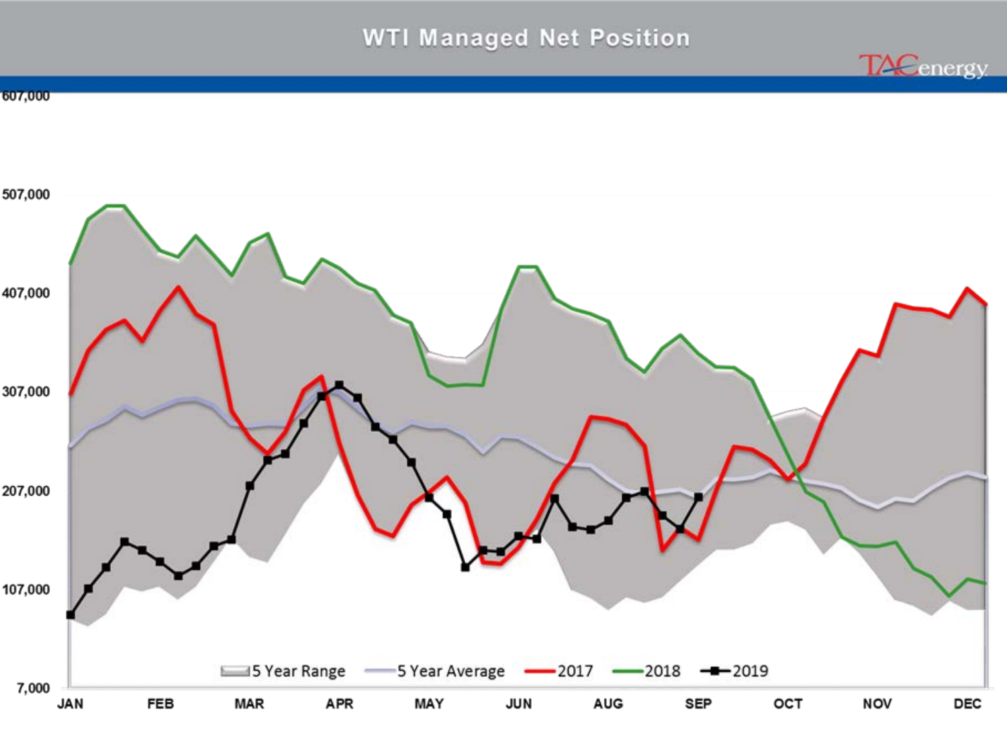# **WTI Managed Net Position**

**TACenergy** 

607,000